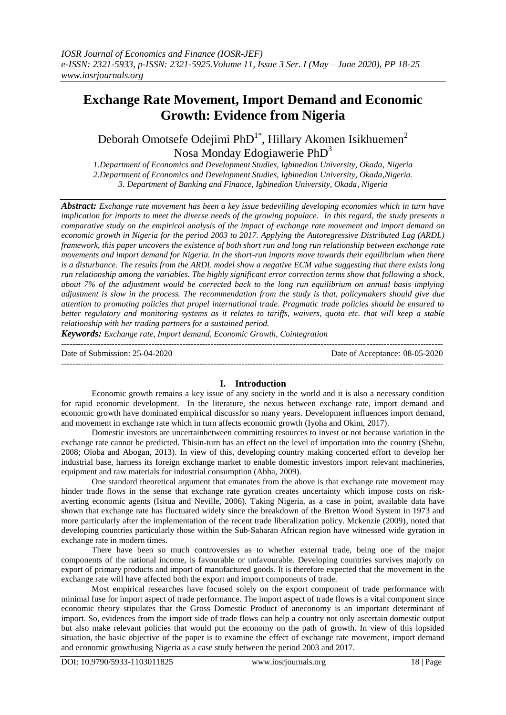# **Exchange Rate Movement, Import Demand and Economic Growth: Evidence from Nigeria**

Deborah Omotsefe Odejimi PhD<sup>1\*</sup>, Hillary Akomen Isikhuemen<sup>2</sup> Nosa Monday Edogiawerie PhD<sup>3</sup>

*1.Department of Economics and Development Studies, Igbinedion University, Okada, Nigeria 2.Department of Economics and Development Studies, Igbinedion University, Okada,Nigeria. 3. Department of Banking and Finance, Igbinedion University, Okada, Nigeria*

*Abstract: Exchange rate movement has been a key issue bedevilling developing economies which in turn have implication for imports to meet the diverse needs of the growing populace. In this regard, the study presents a comparative study on the empirical analysis of the impact of exchange rate movement and import demand on economic growth in Nigeria for the period 2003 to 2017. Applying the Autoregressive Distributed Lag (ARDL) framework, this paper uncovers the existence of both short run and long run relationship between exchange rate movements and import demand for Nigeria. In the short-run imports move towards their equilibrium when there is a disturbance. The results from the ARDL model show a negative ECM value suggesting that there exists long run relationship among the variables. The highly significant error correction terms show that following a shock, about 7% of the adjustment would be corrected back to the long run equilibrium on annual basis implying adjustment is slow in the process. The recommendation from the study is that, policymakers should give due attention to promoting policies that propel international trade. Pragmatic trade policies should be ensured to better regulatory and monitoring systems as it relates to tariffs, waivers, quota etc. that will keep a stable relationship with her trading partners for a sustained period.*

*Keywords: Exchange rate, Import demand, Economic Growth, Cointegration*

--------------------------------------------------------------------------------------------------------------------------------------- Date of Submission: 25-04-2020 Date of Acceptance: 08-05-2020 ---------------------------------------------------------------------------------------------------------------------------------------

#### **I. Introduction**

Economic growth remains a key issue of any society in the world and it is also a necessary condition for rapid economic development. In the literature, the nexus between exchange rate, import demand and economic growth have dominated empirical discussfor so many years. Development influences import demand, and movement in exchange rate which in turn affects economic growth (Iyoha and Okim, 2017).

Domestic investors are uncertainbetween committing resources to invest or not because variation in the exchange rate cannot be predicted. Thisin-turn has an effect on the level of importation into the country (Shehu, 2008; Oloba and Abogan, 2013). In view of this, developing country making concerted effort to develop her industrial base, harness its foreign exchange market to enable domestic investors import relevant machineries, equipment and raw materials for industrial consumption (Abba, 2009).

One standard theoretical argument that emanates from the above is that exchange rate movement may hinder trade flows in the sense that exchange rate gyration creates uncertainty which impose costs on riskaverting economic agents (Isitua and Neville, 2006). Taking Nigeria, as a case in point, available data have shown that exchange rate has fluctuated widely since the breakdown of the Bretton Wood System in 1973 and more particularly after the implementation of the recent trade liberalization policy. Mckenzie (2009), noted that developing countries particularly those within the Sub-Saharan African region have witnessed wide gyration in exchange rate in modern times.

There have been so much controversies as to whether external trade, being one of the major components of the national income, is favourable or unfavourable. Developing countries survives majorly on export of primary products and import of manufactured goods. It is therefore expected that the movement in the exchange rate will have affected both the export and import components of trade.

Most empirical researches have focused solely on the export component of trade performance with minimal fuse for import aspect of trade performance. The import aspect of trade flows is a vital component since economic theory stipulates that the Gross Domestic Product of aneconomy is an important determinant of import. So, evidences from the import side of trade flows can help a country not only ascertain domestic output but also make relevant policies that would put the economy on the path of growth. In view of this lopsided situation, the basic objective of the paper is to examine the effect of exchange rate movement, import demand and economic growthusing Nigeria as a case study between the period 2003 and 2017.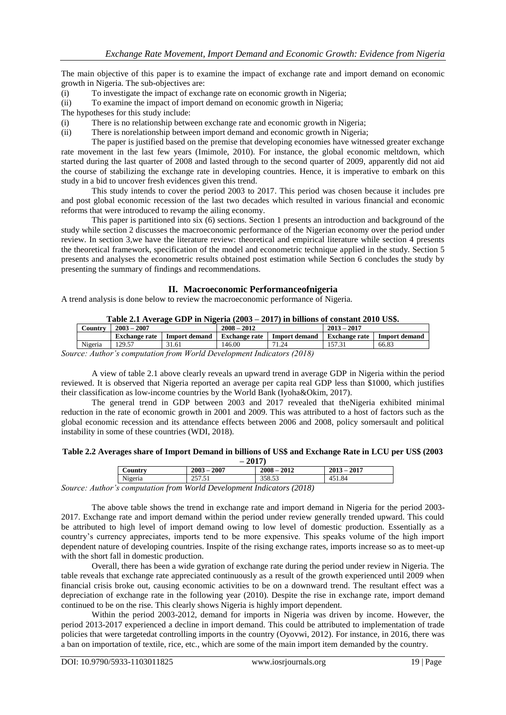The main objective of this paper is to examine the impact of exchange rate and import demand on economic growth in Nigeria. The sub-objectives are:

- (i) To investigate the impact of exchange rate on economic growth in Nigeria;
- (ii) To examine the impact of import demand on economic growth in Nigeria;
- The hypotheses for this study include:
- (i) There is no relationship between exchange rate and economic growth in Nigeria;
- (ii) There is norelationship between import demand and economic growth in Nigeria;

The paper is justified based on the premise that developing economies have witnessed greater exchange rate movement in the last few years (Imimole, 2010). For instance, the global economic meltdown, which started during the last quarter of 2008 and lasted through to the second quarter of 2009, apparently did not aid the course of stabilizing the exchange rate in developing countries. Hence, it is imperative to embark on this study in a bid to uncover fresh evidences given this trend.

This study intends to cover the period 2003 to 2017. This period was chosen because it includes pre and post global economic recession of the last two decades which resulted in various financial and economic reforms that were introduced to revamp the ailing economy.

This paper is partitioned into six (6) sections. Section 1 presents an introduction and background of the study while section 2 discusses the macroeconomic performance of the Nigerian economy over the period under review. In section 3,we have the literature review: theoretical and empirical literature while section 4 presents the theoretical framework, specification of the model and econometric technique applied in the study. Section 5 presents and analyses the econometric results obtained post estimation while Section 6 concludes the study by presenting the summary of findings and recommendations.

## **II. Macroeconomic Performanceofnigeria**

A trend analysis is done below to review the macroeconomic performance of Nigeria.

| Table 2.1 Average GDP in Nigeria (2003 – 2017) in billions of constant 2010 US\$. |                      |               |                      |                      |               |                      |
|-----------------------------------------------------------------------------------|----------------------|---------------|----------------------|----------------------|---------------|----------------------|
| Country                                                                           | $2003 - 2007$        |               | $2008 - 2012$        |                      | $2013 - 2017$ |                      |
|                                                                                   |                      |               |                      |                      |               |                      |
|                                                                                   | <b>Exchange rate</b> | Import demand | <b>Exchange rate</b> | <b>Import demand</b> | Exchange rate | <b>Import demand</b> |

#### **Table 2.1 Average GDP in Nigeria (2003 – 2017) in billions of constant 2010 US\$.**

*Source: Author's computation from World Development Indicators (2018)*

A view of table 2.1 above clearly reveals an upward trend in average GDP in Nigeria within the period reviewed. It is observed that Nigeria reported an average per capita real GDP less than \$1000, which justifies their classification as low-income countries by the World Bank (Iyoha&Okim, 2017).

The general trend in GDP between 2003 and 2017 revealed that theNigeria exhibited minimal reduction in the rate of economic growth in 2001 and 2009. This was attributed to a host of factors such as the global economic recession and its attendance effects between 2006 and 2008, policy somersault and political instability in some of these countries (WDI, 2018).

#### **Table 2.2 Averages share of Import Demand in billions of US\$ and Exchange Rate in LCU per US\$ (2003 – 2017)**

| $-2011$              |                                                              |               |               |  |
|----------------------|--------------------------------------------------------------|---------------|---------------|--|
| $\mathcal{L}$ ountry | $2003 - 2007$                                                | $2008 - 2012$ | $2013 - 2017$ |  |
| Nigeria              | 257.51                                                       | 358.53        | 451.84        |  |
|                      | uthor's computation from World Douglopment Indicators (2018) |               |               |  |

*Source: Author's computation from World Development Indicators (2018)*

The above table shows the trend in exchange rate and import demand in Nigeria for the period 2003- 2017. Exchange rate and import demand within the period under review generally trended upward. This could be attributed to high level of import demand owing to low level of domestic production. Essentially as a country's currency appreciates, imports tend to be more expensive. This speaks volume of the high import dependent nature of developing countries. Inspite of the rising exchange rates, imports increase so as to meet-up with the short fall in domestic production.

Overall, there has been a wide gyration of exchange rate during the period under review in Nigeria. The table reveals that exchange rate appreciated continuously as a result of the growth experienced until 2009 when financial crisis broke out, causing economic activities to be on a downward trend. The resultant effect was a depreciation of exchange rate in the following year (2010). Despite the rise in exchange rate, import demand continued to be on the rise. This clearly shows Nigeria is highly import dependent.

Within the period 2003-2012, demand for imports in Nigeria was driven by income. However, the period 2013-2017 experienced a decline in import demand. This could be attributed to implementation of trade policies that were targetedat controlling imports in the country (Oyovwi, 2012). For instance, in 2016, there was a ban on importation of textile, rice, etc., which are some of the main import item demanded by the country.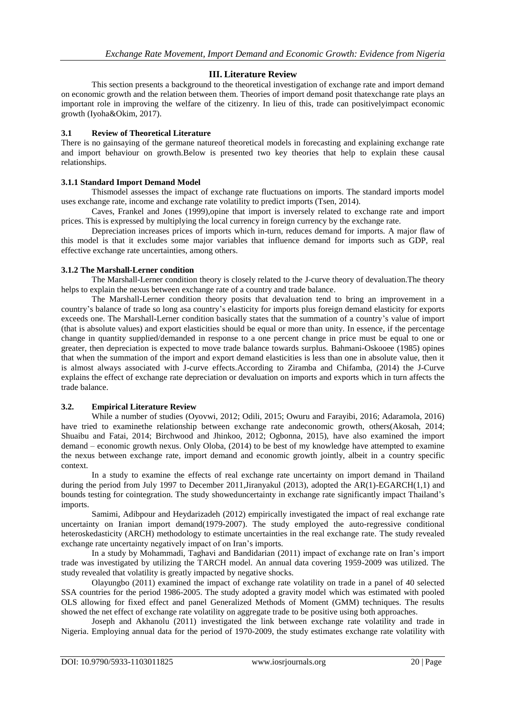# **III. Literature Review**

This section presents a background to the theoretical investigation of exchange rate and import demand on economic growth and the relation between them. Theories of import demand posit thatexchange rate plays an important role in improving the welfare of the citizenry. In lieu of this, trade can positivelyimpact economic growth (Iyoha&Okim, 2017).

## **3.1 Review of Theoretical Literature**

There is no gainsaying of the germane natureof theoretical models in forecasting and explaining exchange rate and import behaviour on growth.Below is presented two key theories that help to explain these causal relationships.

## **3.1.1 Standard Import Demand Model**

Thismodel assesses the impact of exchange rate fluctuations on imports. The standard imports model uses exchange rate, income and exchange rate volatility to predict imports (Tsen, 2014).

Caves, Frankel and Jones (1999),opine that import is inversely related to exchange rate and import prices. This is expressed by multiplying the local currency in foreign currency by the exchange rate.

Depreciation increases prices of imports which in-turn, reduces demand for imports. A major flaw of this model is that it excludes some major variables that influence demand for imports such as GDP, real effective exchange rate uncertainties, among others.

## **3.1.2 The Marshall-Lerner condition**

The Marshall-Lerner condition theory is closely related to the J-curve theory of devaluation.The theory helps to explain the nexus between exchange rate of a country and trade balance.

The Marshall-Lerner condition theory posits that devaluation tend to bring an improvement in a country's balance of trade so long asa country's elasticity for imports plus foreign demand elasticity for exports exceeds one. The Marshall-Lerner condition basically states that the summation of a country's value of import (that is absolute values) and export elasticities should be equal or more than unity. In essence, if the percentage change in quantity supplied/demanded in response to a one percent change in price must be equal to one or greater, then depreciation is expected to move trade balance towards surplus. Bahmani-Oskooee (1985) opines that when the summation of the import and export demand elasticities is less than one in absolute value, then it is almost always associated with J-curve effects.According to Ziramba and Chifamba, (2014) the J-Curve explains the effect of exchange rate depreciation or devaluation on imports and exports which in turn affects the trade balance.

# **3.2. Empirical Literature Review**

While a number of studies (Oyovwi, 2012; Odili, 2015; Owuru and Farayibi, 2016; Adaramola, 2016) have tried to examinethe relationship between exchange rate andeconomic growth, others(Akosah, 2014; Shuaibu and Fatai, 2014; Birchwood and Jhinkoo, 2012; Ogbonna, 2015), have also examined the import demand – economic growth nexus. Only Oloba, (2014) to be best of my knowledge have attempted to examine the nexus between exchange rate, import demand and economic growth jointly, albeit in a country specific context.

In a study to examine the effects of real exchange rate uncertainty on import demand in Thailand during the period from July 1997 to December 2011, Jiranyakul (2013), adopted the AR(1)-EGARCH(1,1) and bounds testing for cointegration. The study showeduncertainty in exchange rate significantly impact Thailand's imports.

Samimi, Adibpour and Heydarizadeh (2012) empirically investigated the impact of real exchange rate uncertainty on Iranian import demand(1979-2007). The study employed the auto-regressive conditional heteroskedasticity (ARCH) methodology to estimate uncertainties in the real exchange rate. The study revealed exchange rate uncertainty negatively impact of on Iran's imports.

In a study by Mohammadi, Taghavi and Bandidarian (2011) impact of exchange rate on Iran's import trade was investigated by utilizing the TARCH model. An annual data covering 1959-2009 was utilized. The study revealed that volatility is greatly impacted by negative shocks.

Olayungbo (2011) examined the impact of exchange rate volatility on trade in a panel of 40 selected SSA countries for the period 1986-2005. The study adopted a gravity model which was estimated with pooled OLS allowing for fixed effect and panel Generalized Methods of Moment (GMM) techniques. The results showed the net effect of exchange rate volatility on aggregate trade to be positive using both approaches.

Joseph and Akhanolu (2011) investigated the link between exchange rate volatility and trade in Nigeria. Employing annual data for the period of 1970-2009, the study estimates exchange rate volatility with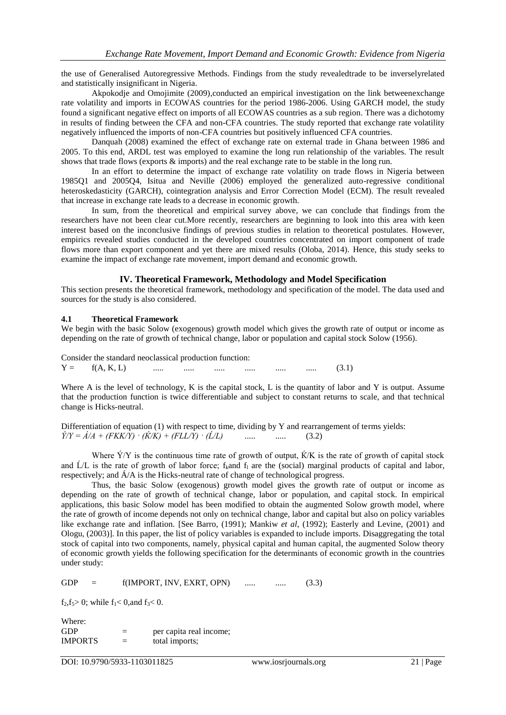the use of Generalised Autoregressive Methods. Findings from the study revealedtrade to be inverselyrelated and statistically insignificant in Nigeria.

Akpokodje and Omojimite (2009),conducted an empirical investigation on the link betweenexchange rate volatility and imports in ECOWAS countries for the period 1986-2006. Using GARCH model, the study found a significant negative effect on imports of all ECOWAS countries as a sub region. There was a dichotomy in results of finding between the CFA and non-CFA countries. The study reported that exchange rate volatility negatively influenced the imports of non-CFA countries but positively influenced CFA countries.

Danquah (2008) examined the effect of exchange rate on external trade in Ghana between 1986 and 2005. To this end, ARDL test was employed to examine the long run relationship of the variables. The result shows that trade flows (exports  $\&$  imports) and the real exchange rate to be stable in the long run.

In an effort to determine the impact of exchange rate volatility on trade flows in Nigeria between 1985Q1 and 2005Q4, Isitua and Neville (2006) employed the generalized auto-regressive conditional heteroskedasticity (GARCH), cointegration analysis and Error Correction Model (ECM). The result revealed that increase in exchange rate leads to a decrease in economic growth.

In sum, from the theoretical and empirical survey above, we can conclude that findings from the researchers have not been clear cut.More recently, researchers are beginning to look into this area with keen interest based on the inconclusive findings of previous studies in relation to theoretical postulates. However, empirics revealed studies conducted in the developed countries concentrated on import component of trade flows more than export component and yet there are mixed results (Oloba, 2014). Hence, this study seeks to examine the impact of exchange rate movement, import demand and economic growth.

## **IV. Theoretical Framework, Methodology and Model Specification**

This section presents the theoretical framework, methodology and specification of the model. The data used and sources for the study is also considered.

#### **4.1 Theoretical Framework**

We begin with the basic Solow (exogenous) growth model which gives the growth rate of output or income as depending on the rate of growth of technical change, labor or population and capital stock Solow (1956).

Consider the standard neoclassical production function:  $Y = f(A, K, L)$  ..... ..... ..... ..... ..... ..... (3.1)

Where A is the level of technology, K is the capital stock, L is the quantity of labor and Y is output. Assume that the production function is twice differentiable and subject to constant returns to scale, and that technical change is Hicks-neutral.

Differentiation of equation (1) with respect to time, dividing by Y and rearrangement of terms yields:  $\acute{Y}/Y = \acute{A}/A + (FKK/Y) \cdot (\acute{K}/K) + (FLL/Y) \cdot (\acute{L}/L)$  ..... ..... (3.2)

Where  $\acute{Y}/Y$  is the continuous time rate of growth of output,  $\acute{K}/K$  is the rate of growth of capital stock and  $\dot{L}/L$  is the rate of growth of labor force; f<sub>k</sub>and  $f_1$  are the (social) marginal products of capital and labor, respectively; and Á/A is the Hicks-neutral rate of change of technological progress.

Thus, the basic Solow (exogenous) growth model gives the growth rate of output or income as depending on the rate of growth of technical change, labor or population, and capital stock. In empirical applications, this basic Solow model has been modified to obtain the augmented Solow growth model, where the rate of growth of income depends not only on technical change, labor and capital but also on policy variables like exchange rate and inflation. [See Barro, (1991); Mankiw *et al,* (1992); Easterly and Levine, (2001) and Ologu, (2003)]. In this paper, the list of policy variables is expanded to include imports. Disaggregating the total stock of capital into two components, namely, physical capital and human capital, the augmented Solow theory of economic growth yields the following specification for the determinants of economic growth in the countries under study:

 $GDP = f(IMPORT, INV, EXRT, OPN)$  ..... ..... (3.3)

 $f_2, f_5 > 0$ ; while  $f_1 < 0$ , and  $f_3 < 0$ .

Where: GDP  $=$  per capita real income;  $IMPORTS = total imports:$ 

DOI: 10.9790/5933-1103011825 www.iosrjournals.org 21 | Page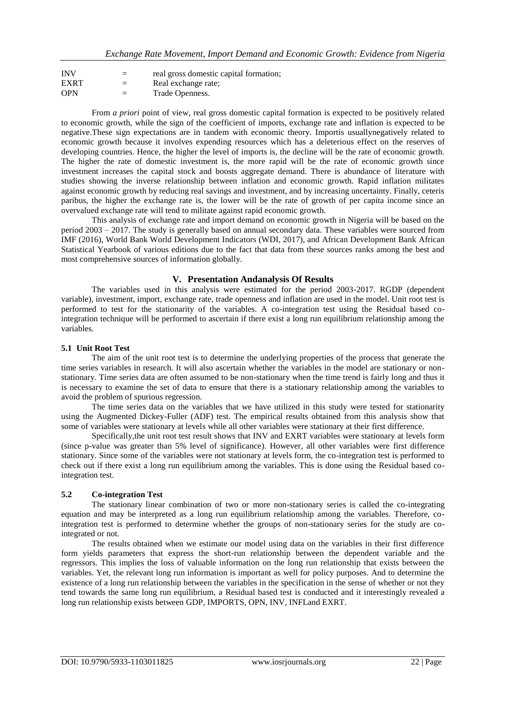| <b>INV</b>  |     | real gross domestic capital formation; |
|-------------|-----|----------------------------------------|
| <b>EXRT</b> | $=$ | Real exchange rate;                    |
| <b>OPN</b>  | $=$ | Trade Openness.                        |

From *a priori* point of view, real gross domestic capital formation is expected to be positively related to economic growth, while the sign of the coefficient of imports, exchange rate and inflation is expected to be negative.These sign expectations are in tandem with economic theory. Importis usuallynegatively related to economic growth because it involves expending resources which has a deleterious effect on the reserves of developing countries. Hence, the higher the level of imports is, the decline will be the rate of economic growth. The higher the rate of domestic investment is, the more rapid will be the rate of economic growth since investment increases the capital stock and boosts aggregate demand. There is abundance of literature with studies showing the inverse relationship between inflation and economic growth. Rapid inflation militates against economic growth by reducing real savings and investment, and by increasing uncertainty. Finally, ceteris paribus, the higher the exchange rate is, the lower will be the rate of growth of per capita income since an overvalued exchange rate will tend to militate against rapid economic growth.

This analysis of exchange rate and import demand on economic growth in Nigeria will be based on the period 2003 – 2017. The study is generally based on annual secondary data. These variables were sourced from IMF (2016), World Bank World Development Indicators (WDI, 2017), and African Development Bank African Statistical Yearbook of various editions due to the fact that data from these sources ranks among the best and most comprehensive sources of information globally.

## **V. Presentation Andanalysis Of Results**

The variables used in this analysis were estimated for the period 2003-2017. RGDP (dependent variable), investment, import, exchange rate, trade openness and inflation are used in the model. Unit root test is performed to test for the stationarity of the variables. A co-integration test using the Residual based cointegration technique will be performed to ascertain if there exist a long run equilibrium relationship among the variables.

# **5.1 Unit Root Test**

The aim of the unit root test is to determine the underlying properties of the process that generate the time series variables in research. It will also ascertain whether the variables in the model are stationary or nonstationary. Time series data are often assumed to be non-stationary when the time trend is fairly long and thus it is necessary to examine the set of data to ensure that there is a stationary relationship among the variables to avoid the problem of spurious regression.

The time series data on the variables that we have utilized in this study were tested for stationarity using the Augmented Dickey-Fuller (ADF) test. The empirical results obtained from this analysis show that some of variables were stationary at levels while all other variables were stationary at their first difference.

Specifically,the unit root test result shows that INV and EXRT variables were stationary at levels form (since p-value was greater than 5% level of significance). However, all other variables were first difference stationary. Since some of the variables were not stationary at levels form, the co-integration test is performed to check out if there exist a long run equilibrium among the variables. This is done using the Residual based cointegration test.

# **5.2 Co-integration Test**

The stationary linear combination of two or more non-stationary series is called the co-integrating equation and may be interpreted as a long run equilibrium relationship among the variables. Therefore, cointegration test is performed to determine whether the groups of non-stationary series for the study are cointegrated or not.

The results obtained when we estimate our model using data on the variables in their first difference form yields parameters that express the short-run relationship between the dependent variable and the regressors. This implies the loss of valuable information on the long run relationship that exists between the variables. Yet, the relevant long run information is important as well for policy purposes. And to determine the existence of a long run relationship between the variables in the specification in the sense of whether or not they tend towards the same long run equilibrium, a Residual based test is conducted and it interestingly revealed a long run relationship exists between GDP, IMPORTS, OPN, INV, INFLand EXRT.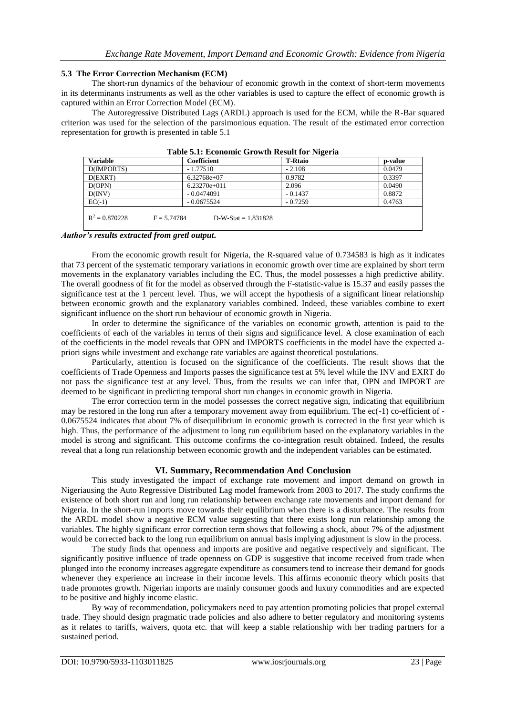#### **5.3 The Error Correction Mechanism (ECM)**

The short-run dynamics of the behaviour of economic growth in the context of short-term movements in its determinants instruments as well as the other variables is used to capture the effect of economic growth is captured within an Error Correction Model (ECM).

The Autoregressive Distributed Lags (ARDL) approach is used for the ECM, while the R-Bar squared criterion was used for the selection of the parsimonious equation. The result of the estimated error correction representation for growth is presented in table 5.1

| Table 3.1, ECONOMIC GLOWIN RESULT TOT IMPORTA |                                        |                |         |  |  |
|-----------------------------------------------|----------------------------------------|----------------|---------|--|--|
| <b>Variable</b>                               | Coefficient                            | <b>T-Rtaio</b> | p-value |  |  |
| D(IMPORTS)                                    | $-1.77510$                             | $-2.108$       | 0.0479  |  |  |
| D(EXRT)                                       | $6.32768e+07$                          | 0.9782         | 0.3397  |  |  |
| D(OPN)                                        | $6.23270e+011$                         | 2.096          | 0.0490  |  |  |
| D(INV)                                        | $-0.0474091$                           | $-0.1437$      | 0.8872  |  |  |
| $EC(-1)$                                      | $-0.0675524$                           | $-0.7259$      | 0.4763  |  |  |
| $R^2 = 0.870228$                              | $D-W-Stat = 1.831828$<br>$F = 5.74784$ |                |         |  |  |
|                                               |                                        |                |         |  |  |

**Table 5.1: Economic Growth Result for Nigeria**

#### *Author's results extracted from gretl output***.**

From the economic growth result for Nigeria, the R-squared value of 0.734583 is high as it indicates that 73 percent of the systematic temporary variations in economic growth over time are explained by short term movements in the explanatory variables including the EC. Thus, the model possesses a high predictive ability. The overall goodness of fit for the model as observed through the F-statistic-value is 15.37 and easily passes the significance test at the 1 percent level. Thus, we will accept the hypothesis of a significant linear relationship between economic growth and the explanatory variables combined. Indeed, these variables combine to exert significant influence on the short run behaviour of economic growth in Nigeria.

In order to determine the significance of the variables on economic growth, attention is paid to the coefficients of each of the variables in terms of their signs and significance level. A close examination of each of the coefficients in the model reveals that OPN and IMPORTS coefficients in the model have the expected apriori signs while investment and exchange rate variables are against theoretical postulations.

Particularly, attention is focused on the significance of the coefficients. The result shows that the coefficients of Trade Openness and Imports passes the significance test at 5% level while the INV and EXRT do not pass the significance test at any level. Thus, from the results we can infer that, OPN and IMPORT are deemed to be significant in predicting temporal short run changes in economic growth in Nigeria.

The error correction term in the model possesses the correct negative sign, indicating that equilibrium may be restored in the long run after a temporary movement away from equilibrium. The ec(-1) co-efficient of - 0.0675524 indicates that about 7% of disequilibrium in economic growth is corrected in the first year which is high. Thus, the performance of the adjustment to long run equilibrium based on the explanatory variables in the model is strong and significant. This outcome confirms the co-integration result obtained. Indeed, the results reveal that a long run relationship between economic growth and the independent variables can be estimated.

# **VI. Summary, Recommendation And Conclusion**

This study investigated the impact of exchange rate movement and import demand on growth in Nigeriausing the Auto Regressive Distributed Lag model framework from 2003 to 2017. The study confirms the existence of both short run and long run relationship between exchange rate movements and import demand for Nigeria. In the short-run imports move towards their equilibrium when there is a disturbance. The results from the ARDL model show a negative ECM value suggesting that there exists long run relationship among the variables. The highly significant error correction term shows that following a shock, about 7% of the adjustment would be corrected back to the long run equilibrium on annual basis implying adjustment is slow in the process.

The study finds that openness and imports are positive and negative respectively and significant. The significantly positive influence of trade openness on GDP is suggestive that income received from trade when plunged into the economy increases aggregate expenditure as consumers tend to increase their demand for goods whenever they experience an increase in their income levels. This affirms economic theory which posits that trade promotes growth. Nigerian imports are mainly consumer goods and luxury commodities and are expected to be positive and highly income elastic.

By way of recommendation, policymakers need to pay attention promoting policies that propel external trade. They should design pragmatic trade policies and also adhere to better regulatory and monitoring systems as it relates to tariffs, waivers, quota etc. that will keep a stable relationship with her trading partners for a sustained period.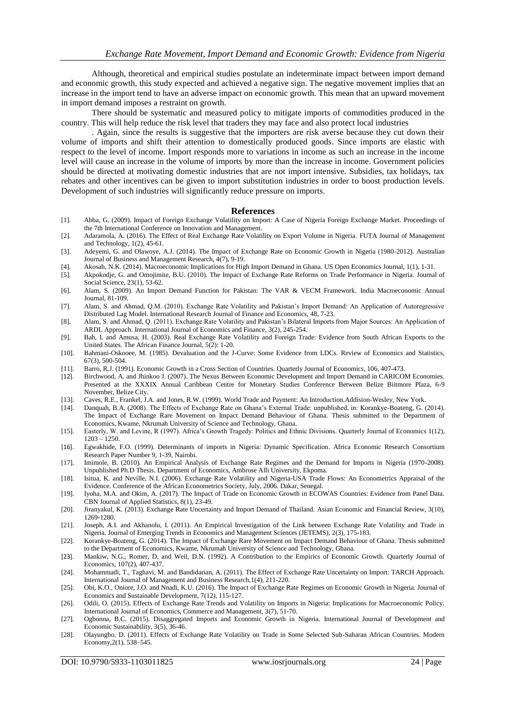Although, theoretical and empirical studies postulate an indeterminate impact between import demand and economic growth, this study expected and achieved a negative sign. The negative movement implies that an increase in the import tend to have an adverse impact on economic growth. This mean that an upward movement in import demand imposes a restraint on growth.

There should be systematic and measured policy to mitigate imports of commodities produced in the country. This will help reduce the risk level that traders they may face and also protect local industries

. Again, since the results is suggestive that the importers are risk averse because they cut down their volume of imports and shift their attention to domestically produced goods. Since imports are elastic with respect to the level of income. Import responds more to variations in income as such an increase in the income level will cause an increase in the volume of imports by more than the increase in income. Government policies should be directed at motivating domestic industries that are not import intensive. Subsidies, tax holidays, tax rebates and other incentives can be given to import substitution industries in order to boost production levels. Development of such industries will significantly reduce pressure on imports.

#### **References**

- [1]. Abba, G. (2009). Impact of Foreign Exchange Volatility on Import: A Case of Nigeria Foreign Exchange Market. Proceedings of the 7th International Conference on Innovation and Management.
- [2]. Adaramola, A. (2016). The Effect of Real Exchange Rate Volatility on Export Volume in Nigeria. FUTA Journal of Management and Technology, 1(2), 45-61.
- [3]. Adeyemi, G. and Olawoye, A.J. (2014). The Impact of Exchange Rate on Economic Growth in Nigeria (1980-2012). Australian Journal of Business and Management Research, 4(7), 9-19.
- [4]. Akosah, N.K. (2014). Macroeconomic Implications for High Import Demand in Ghana. US Open Economics Journal, 1(1), 1-31.
- [5]. Akpokodje, G. and Omojimite, B.U. (2010). The Impact of Exchange Rate Reforms on Trade Performance in Nigeria. Journal of Social Science, 23(1), 53-62.
- [6]. Alam, S. (2009). An Import Demand Function for Pakistan: The VAR & VECM Framework. India Macroeconomic Annual Journal, 81-109.
- [7]. Alam, S. and Ahmad, Q.M. (2010). Exchange Rate Volatility and Pakistan's Import Demand: An Application of Autoregressive Distributed Lag Model. International Research Journal of Finance and Economics, 48, 7-23.
- [8]. Alam, S. and Ahmad, Q. (2011). Exchange Rate Volatility and Pakistan's Bilateral Imports from Major Sources: An Application of ARDL Approach. International Journal of Economics and Finance, 3(2), 245-254.
- [9]. Bah, I. and Amusa, H. (2003). Real Exchange Rate Volatility and Foreign Trade: Evidence from South African Exports to the United States. The African Finance Journal, 5(2): 1-20.
- [10]. Bahmani-Oskooee, M. (1985). Devaluation and the J-Curve: Some Evidence from LDCs. Review of Economics and Statistics, 67(3), 500-504.
- [11]. Barro, R.J. (1991). Economic Growth in a Cross Section of Countries. Quarterly Journal of Economics, 106, 407-473.
- [12]. Birchwood, A. and Jhinkoo J. (2007). The Nexus Between Economic Development and Import Demand in CARICOM Economies. Presented at the XXXIX Annual Caribbean Centre for Monetary Studies Conference Between Belize Biitmore Plaza, 6-9 November, Belize City.
- [13]. Caves, R.E., Frankel, J.A. and Jones, R.W. (1999). World Trade and Payment: An Introduction.Addision-Wesley, New York.
- [14]. Danquah, B.A. (2008). The Effects of Exchange Rate on Ghana's External Trade: unpublished, in: Korankye-Boateng, G. (2014). The Impact of Exchange Rare Movement on Impact Demand Behaviour of Ghana. Thesis submitted to the Department of Economics, Kwame, Nkrumah University of Science and Technology, Ghana.
- [15]. Easterly, W. and Levine, R (1997). Africa's Growth Tragedy: Politics and Ethnic Divisions. Quarterly Journal of Economics 1(12), 1203 – 1250.
- [16]. Egwakhide, F.O. (1999). Determinants of imports in Nigeria: Dynamic Specification. Africa Economic Research Consortium Research Paper Number 9, 1-39, Nairobi.
- [17]. Imimole, B. (2010). An Empirical Analysis of Exchange Rate Regimes and the Demand for Imports in Nigeria (1970-2008). Unpublished Ph.D Thesis. Department of Economics, Ambrose Alli University, Ekpoma.
- [18]. Isitua, K. and Neville, N.I. (2006). Exchange Rate Volatility and Nigeria-USA Trade Flows: An Econometrics Appraisal of the Evidence. Conference of the African Econometrics Society, July, 2006. Dakar, Senegal.
- [19]. Iyoha, M.A. and Okim, A. (2017). The Impact of Trade on Economic Growth in ECOWAS Countries: Evidence from Panel Data. CBN Journal of Applied Statistics, 8(1), 23-49.
- [20]. Jiranyakul, K. (2013). Exchange Rate Uncertainty and Import Demand of Thailand. Asian Economic and Financial Review, 3(10), 1269-1280.
- [21]. Joseph, A.I. and Akhanolu, I. (2011). An Empirical Investigation of the Link between Exchange Rate Volatility and Trade in Nigeria. Journal of Emerging Trends in Economics and Management Sciences (JETEMS), 2(3), 175-183.
- [22]. Korankye-Boateng, G. (2014). The Impact of Exchange Rare Movement on Impact Demand Behaviour of Ghana. Thesis submitted to the Department of Economics, Kwame, Nkrumah University of Science and Technology, Ghana.
- [23]. Mankiw, N.G., Romer, D. and Weil, D.N. (1992). A Contribution to the Empirics of Economic Growth. Quarterly Journal of Economics, 107(2), 407-437.
- [24]. Mohammadi, T., Taghavi, M. and Bandidarian, A. (2011). The Effect of Exchange Rate Uncertainty on Import: TARCH Approach. International Journal of Management and Business Research,1(4), 211-220.
- [25]. Obi, K.O., Oniore, J.O. and Nnadi, K.U. (2016). The Impact of Exchange Rate Regimes on Economic Growth in Nigeria. Journal of Economics and Sustainable Development, 7(12), 115-127.
- [26]. Odili, O. (2015). Effects of Exchange Rate Trends and Volatility on Imports in Nigeria: Implications for Macroeconomic Policy. International Journal of Economics, Commerce and Management, 3(7), 51-70.
- [27]. Ogbonna, B.C. (2015). Disaggregated Imports and Economic Growth in Nigeria. International Journal of Development and Economic Sustainability, 3(5), 36-46.
- [28]. Olayungbo, D. (2011). Effects of Exchange Rate Volatility on Trade in Some Selected Sub-Saharan African Countries. Modern Economy,2(1), 538–545.